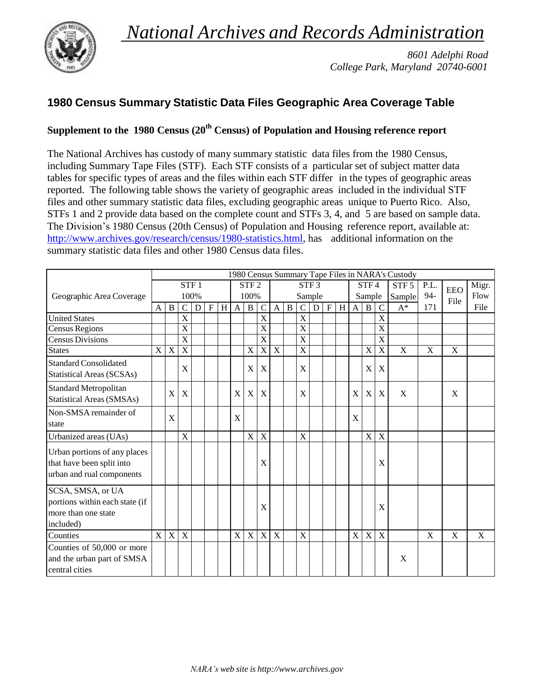*National Archives and Records Administration*



*8601 Adelphi Road College Park, Maryland 20740-6001*

## **1980 Census Summary Statistic Data Files Geographic Area Coverage Table**

## **Supplement to the 1980 Census (20th Census) of Population and Housing reference report**

The National Archives has custody of many summary statistic data files from the 1980 Census, including Summary Tape Files (STF). Each STF consists of a particular set of subject matter data tables for specific types of areas and the files within each STF differ in the types of geographic areas reported. The following table shows the variety of geographic areas included in the individual STF files and other summary statistic data files, excluding geographic areas unique to Puerto Rico. Also, STFs 1 and 2 provide data based on the complete count and STFs 3, 4, and 5 are based on sample data. The Division's 1980 Census (20th Census) of Population and Housing reference report, available at: [http://www.archives.gov/research/census/1980-statistics.html,](http://www.archives.gov/research/census/1980-statistics.html) has additional information on the summary statistic data files and other 1980 Census data files.

|                                                                                         |                  | 1980 Census Summary Tape Files in NARA's Custody |                           |   |             |                |                           |              |             |              |              |                         |                  |             |             |              |                           |                         |                           |             |              |       |
|-----------------------------------------------------------------------------------------|------------------|--------------------------------------------------|---------------------------|---|-------------|----------------|---------------------------|--------------|-------------|--------------|--------------|-------------------------|------------------|-------------|-------------|--------------|---------------------------|-------------------------|---------------------------|-------------|--------------|-------|
| Geographic Area Coverage                                                                | STF <sub>1</sub> |                                                  |                           |   |             |                | STF <sub>2</sub>          |              |             |              |              |                         | STF <sub>3</sub> |             |             |              | STF4                      |                         | STF <sub>5</sub>          | P.L.        | <b>EEO</b>   | Migr. |
|                                                                                         | 100%             |                                                  |                           |   |             |                |                           | 100%         |             |              |              | Sample                  |                  |             |             | Sample       |                           |                         | Sample                    | 94-         | File         | Flow  |
|                                                                                         | $\mathbf{A}$     | $\, {\bf B}$                                     | $\mathcal{C}$             | D | $\mathbf F$ | H <sub>1</sub> | $\mathbf{A}$              | $\mathbf{B}$ | $\mathbf C$ | $\mathbf{A}$ | $\mathbf{B}$ | $\mathbf{C}$            | D                | $\mathbf F$ | $\mathbf H$ | $\mathbf{A}$ | B                         | $\mathcal{C}$           | $A^*$                     | 171         |              | File  |
| <b>United States</b>                                                                    |                  |                                                  | $\overline{\mathbf{X}}$   |   |             |                |                           |              | X           |              |              | $\overline{\mathbf{X}}$ |                  |             |             |              |                           | $\overline{\mathrm{X}}$ |                           |             |              |       |
| Census Regions                                                                          |                  |                                                  | X                         |   |             |                |                           |              | X           |              |              | X                       |                  |             |             |              |                           | X                       |                           |             |              |       |
| <b>Census Divisions</b>                                                                 |                  |                                                  | $\boldsymbol{\mathrm{X}}$ |   |             |                |                           |              | X           |              |              | X                       |                  |             |             |              |                           | $\bar{X}$               |                           |             |              |       |
| <b>States</b>                                                                           | X                | X                                                | X                         |   |             |                |                           | $\mathbf X$  | X           | $\mathbf X$  |              | X                       |                  |             |             |              | X                         | $\mathbf X$             | $\boldsymbol{\mathrm{X}}$ | $\mathbf X$ | $\mathbf X$  |       |
| <b>Standard Consolidated</b><br><b>Statistical Areas (SCSAs)</b>                        |                  |                                                  | X                         |   |             |                |                           | $\mathbf X$  | X           |              |              | X                       |                  |             |             |              | X                         | X                       |                           |             |              |       |
| <b>Standard Metropolitan</b><br><b>Statistical Areas (SMSAs)</b>                        |                  | X                                                | X                         |   |             |                | X                         | X            | X           |              |              | X                       |                  |             |             | X            | X                         | X                       | $\mathbf{x}$              |             | $\mathbf{X}$ |       |
| Non-SMSA remainder of<br>state                                                          |                  | X                                                |                           |   |             |                | $\boldsymbol{\mathrm{X}}$ |              |             |              |              |                         |                  |             |             | X            |                           |                         |                           |             |              |       |
| Urbanized areas (UAs)                                                                   |                  |                                                  | $\mathbf X$               |   |             |                |                           | $\mathbf X$  | $\mathbf X$ |              |              | $\mathbf X$             |                  |             |             |              | $\mathbf X$               | X                       |                           |             |              |       |
| Urban portions of any places<br>that have been split into<br>urban and rual components  |                  |                                                  |                           |   |             |                |                           |              | X           |              |              |                         |                  |             |             |              |                           | X                       |                           |             |              |       |
| SCSA, SMSA, or UA<br>portions within each state (if<br>more than one state<br>included) |                  |                                                  |                           |   |             |                |                           |              | X           |              |              |                         |                  |             |             |              |                           | X                       |                           |             |              |       |
| Counties                                                                                | X                | $\mathbf X$                                      | X                         |   |             |                | X                         | $\mathbf X$  | $\mathbf X$ | $\mathbf X$  |              | X                       |                  |             |             | X            | $\boldsymbol{\mathrm{X}}$ | $\overline{X}$          |                           | X           | X            | X     |
| Counties of 50,000 or more<br>and the urban part of SMSA<br>central cities              |                  |                                                  |                           |   |             |                |                           |              |             |              |              |                         |                  |             |             |              |                           |                         | X                         |             |              |       |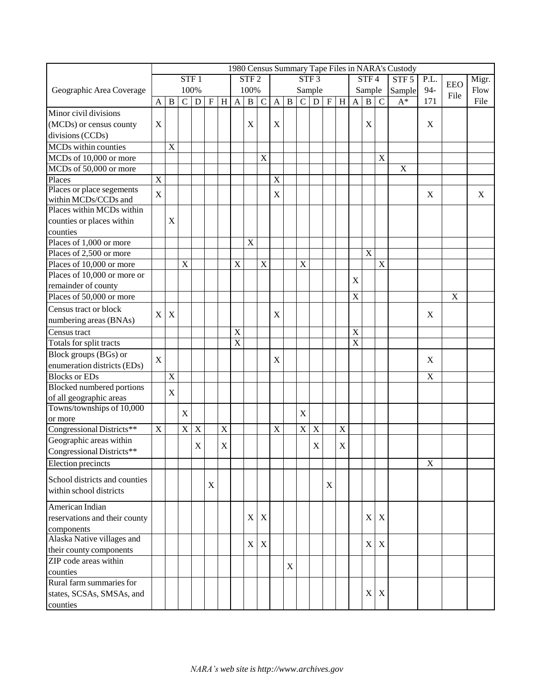|                                  | 1980 Census Summary Tape Files in NARA's Custody |              |             |                  |             |   |                |                  |                           |                           |             |                |                  |                         |                    |              |                           |                |                  |             |             |       |
|----------------------------------|--------------------------------------------------|--------------|-------------|------------------|-------------|---|----------------|------------------|---------------------------|---------------------------|-------------|----------------|------------------|-------------------------|--------------------|--------------|---------------------------|----------------|------------------|-------------|-------------|-------|
|                                  |                                                  |              |             | STF <sub>1</sub> |             |   |                | STF <sub>2</sub> |                           |                           |             |                | STF <sub>3</sub> |                         |                    |              | STF4                      |                | STF <sub>5</sub> | P.L.        |             | Migr. |
| Geographic Area Coverage         | 100%                                             |              |             |                  |             |   |                | 100%             |                           |                           |             | Sample         |                  |                         |                    |              | Sample                    |                | Sample           | 94-         | <b>EEO</b>  | Flow  |
|                                  | $\mathbf{A}$                                     | $\, {\bf B}$ | $\mathsf C$ | $\mathbf D$      | $\mathbf F$ | H | $\mathbf{A}$   | $\, {\bf B}$     | $\mathcal{C}$             | $\mathbf{A}$              | $\mathbf B$ | $\overline{C}$ | $\overline{D}$   | $\overline{\mathrm{F}}$ | $\boxed{\text{H}}$ | $\mathbf{A}$ | $\, {\bf B}$              | $\overline{C}$ | $A^*$            | 171         | File        | File  |
| Minor civil divisions            |                                                  |              |             |                  |             |   |                |                  |                           |                           |             |                |                  |                         |                    |              |                           |                |                  |             |             |       |
| (MCDs) or census county          | $\boldsymbol{\mathrm{X}}$                        |              |             |                  |             |   |                | X                |                           | $\boldsymbol{\mathrm{X}}$ |             |                |                  |                         |                    |              | X                         |                |                  | X           |             |       |
| divisions (CCDs)                 |                                                  |              |             |                  |             |   |                |                  |                           |                           |             |                |                  |                         |                    |              |                           |                |                  |             |             |       |
| MCDs within counties             |                                                  | $\mathbf X$  |             |                  |             |   |                |                  |                           |                           |             |                |                  |                         |                    |              |                           |                |                  |             |             |       |
| MCDs of 10,000 or more           |                                                  |              |             |                  |             |   |                |                  | $\boldsymbol{\mathrm{X}}$ |                           |             |                |                  |                         |                    |              |                           | $\mathbf X$    |                  |             |             |       |
| MCDs of 50,000 or more           |                                                  |              |             |                  |             |   |                |                  |                           |                           |             |                |                  |                         |                    |              |                           |                | X                |             |             |       |
| Places                           | $\overline{X}$                                   |              |             |                  |             |   |                |                  |                           | $\mathbf X$               |             |                |                  |                         |                    |              |                           |                |                  |             |             |       |
| Places or place segements        |                                                  |              |             |                  |             |   |                |                  |                           |                           |             |                |                  |                         |                    |              |                           |                |                  |             |             |       |
| within MCDs/CCDs and             | X                                                |              |             |                  |             |   |                |                  |                           | $\mathbf X$               |             |                |                  |                         |                    |              |                           |                |                  | X           |             | X     |
| Places within MCDs within        |                                                  |              |             |                  |             |   |                |                  |                           |                           |             |                |                  |                         |                    |              |                           |                |                  |             |             |       |
| counties or places within        |                                                  | X            |             |                  |             |   |                |                  |                           |                           |             |                |                  |                         |                    |              |                           |                |                  |             |             |       |
| counties                         |                                                  |              |             |                  |             |   |                |                  |                           |                           |             |                |                  |                         |                    |              |                           |                |                  |             |             |       |
| Places of 1,000 or more          |                                                  |              |             |                  |             |   |                | X                |                           |                           |             |                |                  |                         |                    |              |                           |                |                  |             |             |       |
| Places of 2,500 or more          |                                                  |              |             |                  |             |   |                |                  |                           |                           |             |                |                  |                         |                    |              | $\boldsymbol{\mathrm{X}}$ |                |                  |             |             |       |
| Places of 10,000 or more         |                                                  |              | $\mathbf X$ |                  |             |   | $\mathbf X$    |                  | X                         |                           |             | $\mathbf X$    |                  |                         |                    |              |                           | $\mathbf X$    |                  |             |             |       |
| Places of 10,000 or more or      |                                                  |              |             |                  |             |   |                |                  |                           |                           |             |                |                  |                         |                    |              |                           |                |                  |             |             |       |
| remainder of county              |                                                  |              |             |                  |             |   |                |                  |                           |                           |             |                |                  |                         |                    | X            |                           |                |                  |             |             |       |
| Places of 50,000 or more         |                                                  |              |             |                  |             |   |                |                  |                           |                           |             |                |                  |                         |                    | X            |                           |                |                  |             | $\mathbf X$ |       |
|                                  |                                                  |              |             |                  |             |   |                |                  |                           |                           |             |                |                  |                         |                    |              |                           |                |                  |             |             |       |
| Census tract or block            | $\boldsymbol{\mathrm{X}}$                        | X            |             |                  |             |   |                |                  |                           | X                         |             |                |                  |                         |                    |              |                           |                |                  | X           |             |       |
| numbering areas (BNAs)           |                                                  |              |             |                  |             |   |                |                  |                           |                           |             |                |                  |                         |                    |              |                           |                |                  |             |             |       |
| Census tract                     |                                                  |              |             |                  |             |   | $\mathbf X$    |                  |                           |                           |             |                |                  |                         |                    | $\mathbf X$  |                           |                |                  |             |             |       |
| Totals for split tracts          |                                                  |              |             |                  |             |   | $\overline{X}$ |                  |                           |                           |             |                |                  |                         |                    | X            |                           |                |                  |             |             |       |
| Block groups (BGs) or            | $\mathbf X$                                      |              |             |                  |             |   |                |                  |                           | $\mathbf X$               |             |                |                  |                         |                    |              |                           |                |                  | X           |             |       |
| enumeration districts (EDs)      |                                                  |              |             |                  |             |   |                |                  |                           |                           |             |                |                  |                         |                    |              |                           |                |                  |             |             |       |
| <b>Blocks or EDs</b>             |                                                  | $\mathbf X$  |             |                  |             |   |                |                  |                           |                           |             |                |                  |                         |                    |              |                           |                |                  | $\mathbf X$ |             |       |
| <b>Blocked</b> numbered portions |                                                  | $\mathbf X$  |             |                  |             |   |                |                  |                           |                           |             |                |                  |                         |                    |              |                           |                |                  |             |             |       |
| of all geographic areas          |                                                  |              |             |                  |             |   |                |                  |                           |                           |             |                |                  |                         |                    |              |                           |                |                  |             |             |       |
| Towns/townships of 10,000        |                                                  |              | X           |                  |             |   |                |                  |                           |                           |             | $\mathbf X$    |                  |                         |                    |              |                           |                |                  |             |             |       |
| or more                          |                                                  |              |             |                  |             |   |                |                  |                           |                           |             |                |                  |                         |                    |              |                           |                |                  |             |             |       |
| Congressional Districts**        | X                                                |              | $\mathbf X$ | $\mathbf X$      |             | X |                |                  |                           | $\mathbf X$               |             | X              | $\overline{X}$   |                         | $\mathbf X$        |              |                           |                |                  |             |             |       |
| Geographic areas within          |                                                  |              |             | X                |             | X |                |                  |                           |                           |             |                | X                |                         | X                  |              |                           |                |                  |             |             |       |
| Congressional Districts**        |                                                  |              |             |                  |             |   |                |                  |                           |                           |             |                |                  |                         |                    |              |                           |                |                  |             |             |       |
| Election precincts               |                                                  |              |             |                  |             |   |                |                  |                           |                           |             |                |                  |                         |                    |              |                           |                |                  | $\mathbf X$ |             |       |
| School districts and counties    |                                                  |              |             |                  |             |   |                |                  |                           |                           |             |                |                  |                         |                    |              |                           |                |                  |             |             |       |
| within school districts          |                                                  |              |             |                  | X           |   |                |                  |                           |                           |             |                |                  | $\mathbf X$             |                    |              |                           |                |                  |             |             |       |
|                                  |                                                  |              |             |                  |             |   |                |                  |                           |                           |             |                |                  |                         |                    |              |                           |                |                  |             |             |       |
| American Indian                  |                                                  |              |             |                  |             |   |                |                  |                           |                           |             |                |                  |                         |                    |              |                           |                |                  |             |             |       |
| reservations and their county    |                                                  |              |             |                  |             |   |                | $\mathbf X$      | X                         |                           |             |                |                  |                         |                    |              | X                         | X              |                  |             |             |       |
| components                       |                                                  |              |             |                  |             |   |                |                  |                           |                           |             |                |                  |                         |                    |              |                           |                |                  |             |             |       |
| Alaska Native villages and       |                                                  |              |             |                  |             |   |                | X                | $\boldsymbol{X}$          |                           |             |                |                  |                         |                    |              | X                         | X              |                  |             |             |       |
| their county components          |                                                  |              |             |                  |             |   |                |                  |                           |                           |             |                |                  |                         |                    |              |                           |                |                  |             |             |       |
| ZIP code areas within            |                                                  |              |             |                  |             |   |                |                  |                           |                           | X           |                |                  |                         |                    |              |                           |                |                  |             |             |       |
| counties                         |                                                  |              |             |                  |             |   |                |                  |                           |                           |             |                |                  |                         |                    |              |                           |                |                  |             |             |       |
| Rural farm summaries for         |                                                  |              |             |                  |             |   |                |                  |                           |                           |             |                |                  |                         |                    |              |                           |                |                  |             |             |       |
| states, SCSAs, SMSAs, and        |                                                  |              |             |                  |             |   |                |                  |                           |                           |             |                |                  |                         |                    |              | X                         | X              |                  |             |             |       |
| counties                         |                                                  |              |             |                  |             |   |                |                  |                           |                           |             |                |                  |                         |                    |              |                           |                |                  |             |             |       |